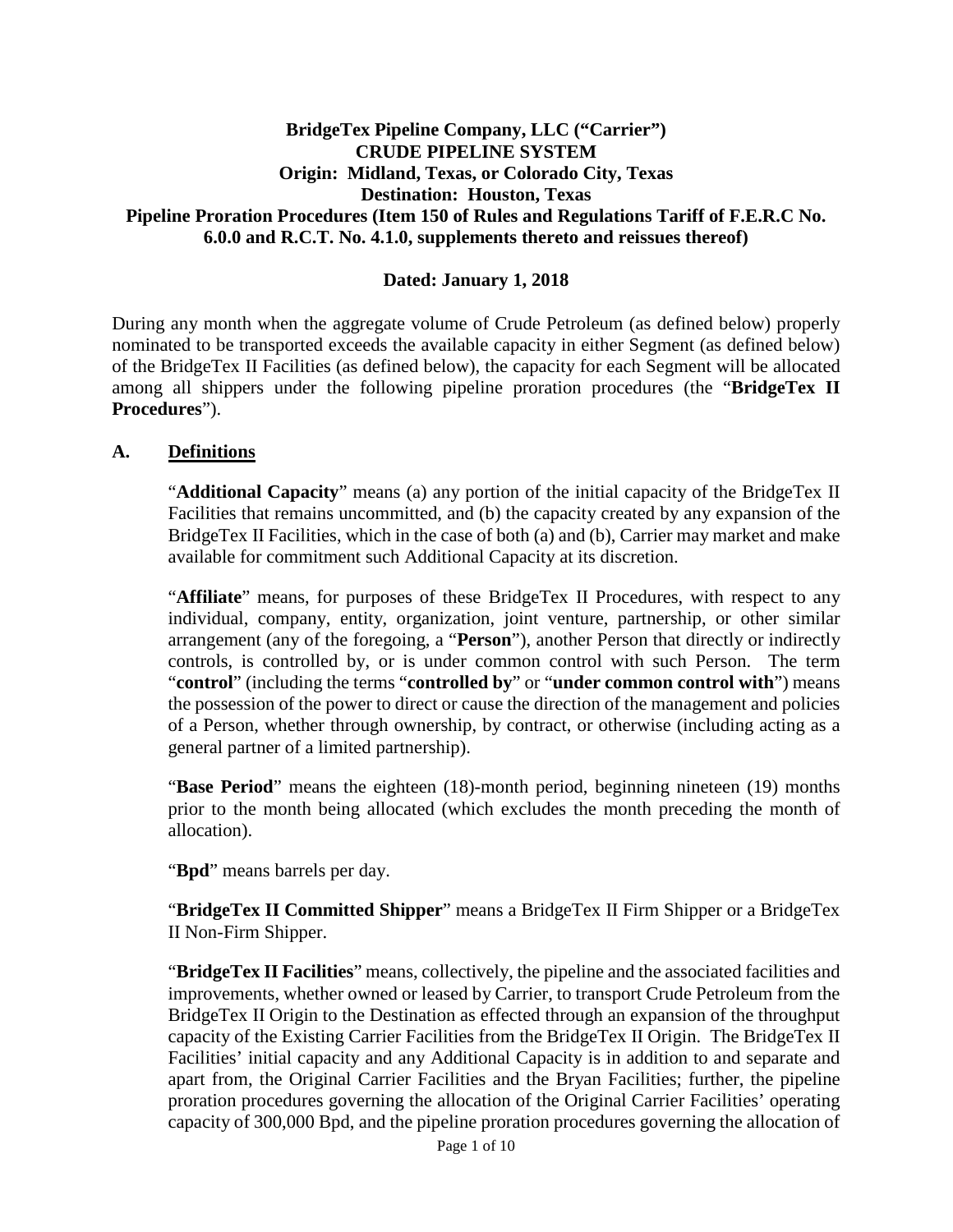#### **BridgeTex Pipeline Company, LLC ("Carrier") CRUDE PIPELINE SYSTEM Origin: Midland, Texas, or Colorado City, Texas Destination: Houston, Texas Pipeline Proration Procedures (Item 150 of Rules and Regulations Tariff of F.E.R.C No. 6.0.0 and R.C.T. No. 4.1.0, supplements thereto and reissues thereof)**

#### **Dated: January 1, 2018**

During any month when the aggregate volume of Crude Petroleum (as defined below) properly nominated to be transported exceeds the available capacity in either Segment (as defined below) of the BridgeTex II Facilities (as defined below), the capacity for each Segment will be allocated among all shippers under the following pipeline proration procedures (the "**BridgeTex II Procedures**").

#### **A. Definitions**

"**Additional Capacity**" means (a) any portion of the initial capacity of the BridgeTex II Facilities that remains uncommitted, and (b) the capacity created by any expansion of the BridgeTex II Facilities, which in the case of both (a) and (b), Carrier may market and make available for commitment such Additional Capacity at its discretion.

"**Affiliate**" means, for purposes of these BridgeTex II Procedures, with respect to any individual, company, entity, organization, joint venture, partnership, or other similar arrangement (any of the foregoing, a "**Person**"), another Person that directly or indirectly controls, is controlled by, or is under common control with such Person. The term "**control**" (including the terms "**controlled by**" or "**under common control with**") means the possession of the power to direct or cause the direction of the management and policies of a Person, whether through ownership, by contract, or otherwise (including acting as a general partner of a limited partnership).

"**Base Period**" means the eighteen (18)-month period, beginning nineteen (19) months prior to the month being allocated (which excludes the month preceding the month of allocation).

"**Bpd**" means barrels per day.

"**BridgeTex II Committed Shipper**" means a BridgeTex II Firm Shipper or a BridgeTex II Non-Firm Shipper.

"**BridgeTex II Facilities**" means, collectively, the pipeline and the associated facilities and improvements, whether owned or leased by Carrier, to transport Crude Petroleum from the BridgeTex II Origin to the Destination as effected through an expansion of the throughput capacity of the Existing Carrier Facilities from the BridgeTex II Origin. The BridgeTex II Facilities' initial capacity and any Additional Capacity is in addition to and separate and apart from, the Original Carrier Facilities and the Bryan Facilities; further, the pipeline proration procedures governing the allocation of the Original Carrier Facilities' operating capacity of 300,000 Bpd, and the pipeline proration procedures governing the allocation of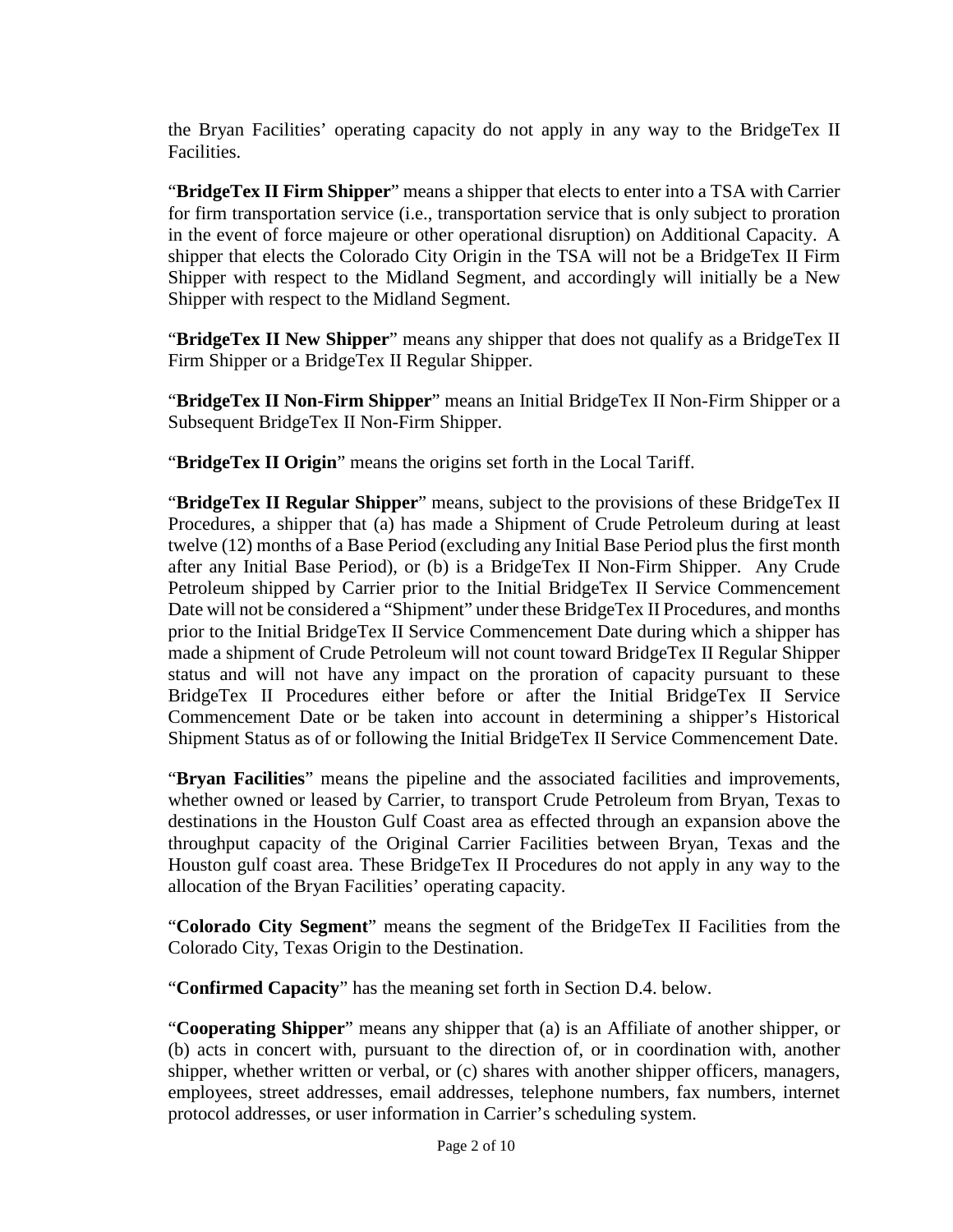the Bryan Facilities' operating capacity do not apply in any way to the BridgeTex II Facilities.

"**BridgeTex II Firm Shipper**" means a shipper that elects to enter into a TSA with Carrier for firm transportation service (i.e., transportation service that is only subject to proration in the event of force majeure or other operational disruption) on Additional Capacity. A shipper that elects the Colorado City Origin in the TSA will not be a BridgeTex II Firm Shipper with respect to the Midland Segment, and accordingly will initially be a New Shipper with respect to the Midland Segment.

"**BridgeTex II New Shipper**" means any shipper that does not qualify as a BridgeTex II Firm Shipper or a BridgeTex II Regular Shipper.

"**BridgeTex II Non-Firm Shipper**" means an Initial BridgeTex II Non-Firm Shipper or a Subsequent BridgeTex II Non-Firm Shipper.

"**BridgeTex II Origin**" means the origins set forth in the Local Tariff.

"**BridgeTex II Regular Shipper**" means, subject to the provisions of these BridgeTex II Procedures, a shipper that (a) has made a Shipment of Crude Petroleum during at least twelve (12) months of a Base Period (excluding any Initial Base Period plus the first month after any Initial Base Period), or (b) is a BridgeTex II Non-Firm Shipper. Any Crude Petroleum shipped by Carrier prior to the Initial BridgeTex II Service Commencement Date will not be considered a "Shipment" under these BridgeTex II Procedures, and months prior to the Initial BridgeTex II Service Commencement Date during which a shipper has made a shipment of Crude Petroleum will not count toward BridgeTex II Regular Shipper status and will not have any impact on the proration of capacity pursuant to these BridgeTex II Procedures either before or after the Initial BridgeTex II Service Commencement Date or be taken into account in determining a shipper's Historical Shipment Status as of or following the Initial BridgeTex II Service Commencement Date.

"**Bryan Facilities**" means the pipeline and the associated facilities and improvements, whether owned or leased by Carrier, to transport Crude Petroleum from Bryan, Texas to destinations in the Houston Gulf Coast area as effected through an expansion above the throughput capacity of the Original Carrier Facilities between Bryan, Texas and the Houston gulf coast area. These BridgeTex II Procedures do not apply in any way to the allocation of the Bryan Facilities' operating capacity.

"**Colorado City Segment**" means the segment of the BridgeTex II Facilities from the Colorado City, Texas Origin to the Destination.

"**Confirmed Capacity**" has the meaning set forth in Section D.4. below.

"**Cooperating Shipper**" means any shipper that (a) is an Affiliate of another shipper, or (b) acts in concert with, pursuant to the direction of, or in coordination with, another shipper, whether written or verbal, or (c) shares with another shipper officers, managers, employees, street addresses, email addresses, telephone numbers, fax numbers, internet protocol addresses, or user information in Carrier's scheduling system.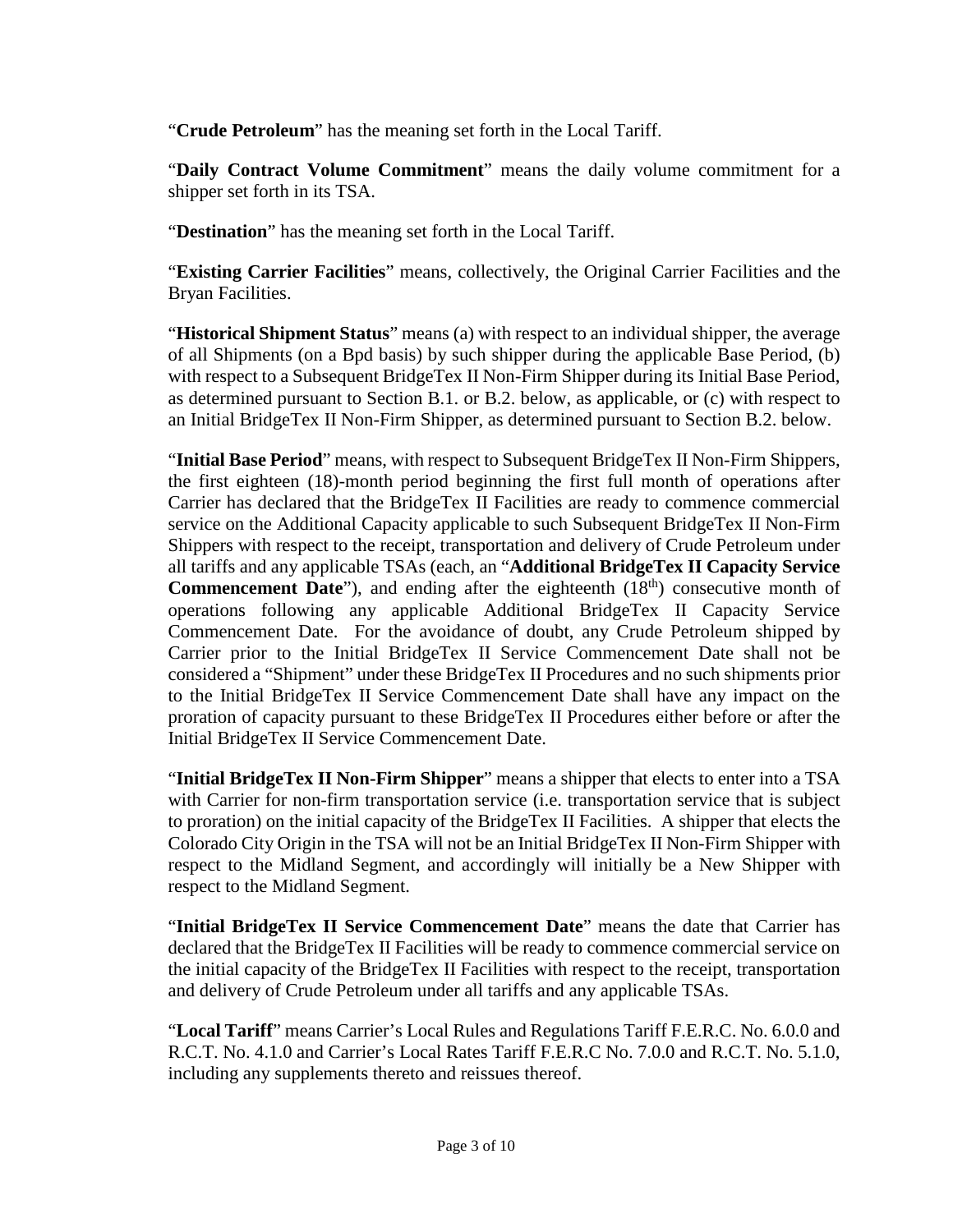"**Crude Petroleum**" has the meaning set forth in the Local Tariff.

"**Daily Contract Volume Commitment**" means the daily volume commitment for a shipper set forth in its TSA.

"**Destination**" has the meaning set forth in the Local Tariff.

"**Existing Carrier Facilities**" means, collectively, the Original Carrier Facilities and the Bryan Facilities.

"**Historical Shipment Status**" means (a) with respect to an individual shipper, the average of all Shipments (on a Bpd basis) by such shipper during the applicable Base Period, (b) with respect to a Subsequent BridgeTex II Non-Firm Shipper during its Initial Base Period, as determined pursuant to Section B.1. or B.2. below, as applicable, or (c) with respect to an Initial BridgeTex II Non-Firm Shipper, as determined pursuant to Section B.2. below.

"**Initial Base Period**" means, with respect to Subsequent BridgeTex II Non-Firm Shippers, the first eighteen (18)-month period beginning the first full month of operations after Carrier has declared that the BridgeTex II Facilities are ready to commence commercial service on the Additional Capacity applicable to such Subsequent BridgeTex II Non-Firm Shippers with respect to the receipt, transportation and delivery of Crude Petroleum under all tariffs and any applicable TSAs (each, an "**Additional BridgeTex II Capacity Service Commencement Date**"), and ending after the eighteenth (18<sup>th</sup>) consecutive month of operations following any applicable Additional BridgeTex II Capacity Service Commencement Date. For the avoidance of doubt, any Crude Petroleum shipped by Carrier prior to the Initial BridgeTex II Service Commencement Date shall not be considered a "Shipment" under these BridgeTex II Procedures and no such shipments prior to the Initial BridgeTex II Service Commencement Date shall have any impact on the proration of capacity pursuant to these BridgeTex II Procedures either before or after the Initial BridgeTex II Service Commencement Date.

"**Initial BridgeTex II Non-Firm Shipper**" means a shipper that elects to enter into a TSA with Carrier for non-firm transportation service (i.e. transportation service that is subject to proration) on the initial capacity of the BridgeTex II Facilities. A shipper that elects the Colorado City Origin in the TSA will not be an Initial BridgeTex II Non-Firm Shipper with respect to the Midland Segment, and accordingly will initially be a New Shipper with respect to the Midland Segment.

"**Initial BridgeTex II Service Commencement Date**" means the date that Carrier has declared that the BridgeTex II Facilities will be ready to commence commercial service on the initial capacity of the BridgeTex II Facilities with respect to the receipt, transportation and delivery of Crude Petroleum under all tariffs and any applicable TSAs.

"**Local Tariff**" means Carrier's Local Rules and Regulations Tariff F.E.R.C. No. 6.0.0 and R.C.T. No. 4.1.0 and Carrier's Local Rates Tariff F.E.R.C No. 7.0.0 and R.C.T. No. 5.1.0, including any supplements thereto and reissues thereof.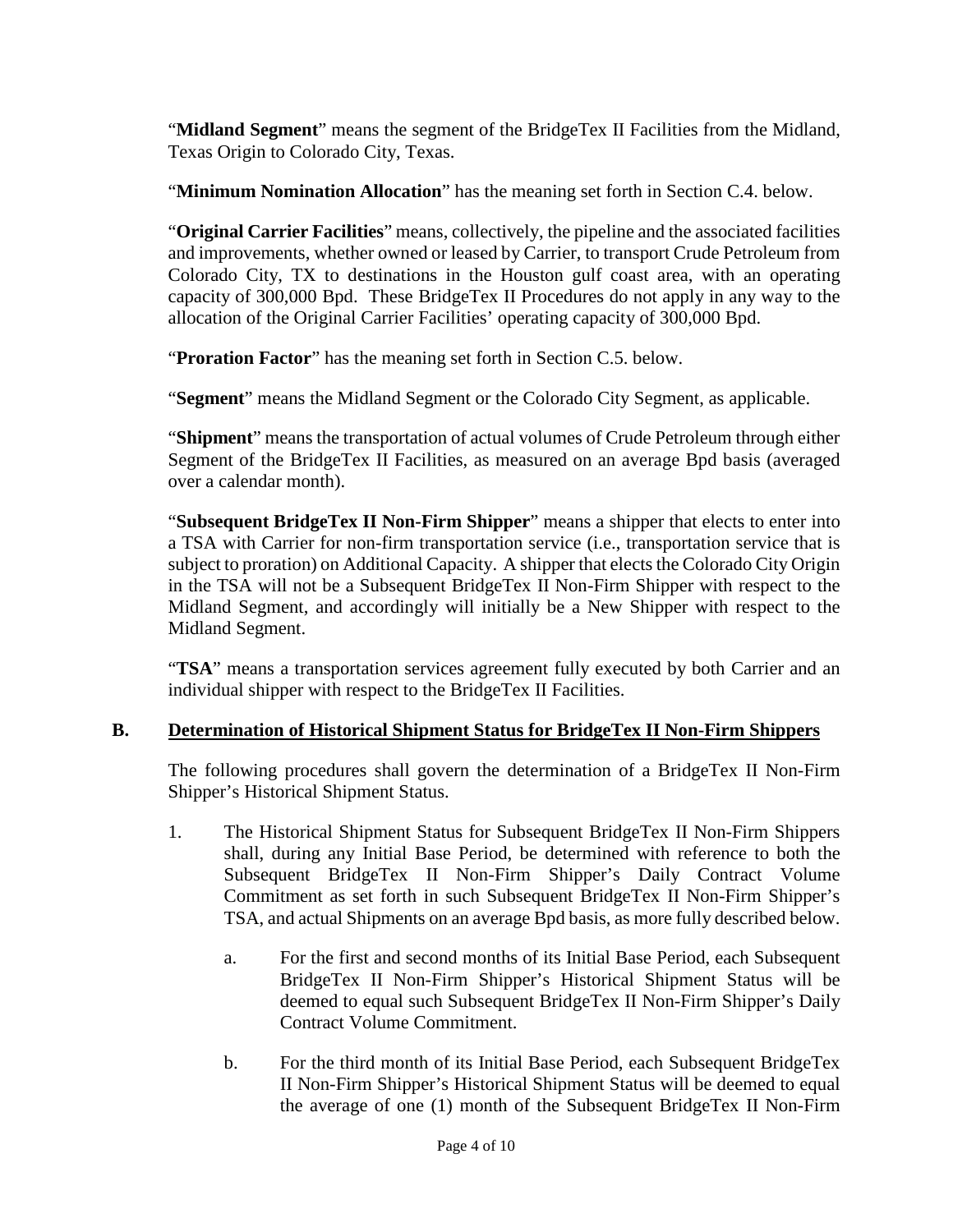"**Midland Segment**" means the segment of the BridgeTex II Facilities from the Midland, Texas Origin to Colorado City, Texas.

"**Minimum Nomination Allocation**" has the meaning set forth in Section C.4. below.

"**Original Carrier Facilities**" means, collectively, the pipeline and the associated facilities and improvements, whether owned or leased by Carrier, to transport Crude Petroleum from Colorado City, TX to destinations in the Houston gulf coast area, with an operating capacity of 300,000 Bpd. These BridgeTex II Procedures do not apply in any way to the allocation of the Original Carrier Facilities' operating capacity of 300,000 Bpd.

"**Proration Factor**" has the meaning set forth in Section C.5. below.

"**Segment**" means the Midland Segment or the Colorado City Segment, as applicable.

"**Shipment**" means the transportation of actual volumes of Crude Petroleum through either Segment of the BridgeTex II Facilities, as measured on an average Bpd basis (averaged over a calendar month).

"**Subsequent BridgeTex II Non-Firm Shipper**" means a shipper that elects to enter into a TSA with Carrier for non-firm transportation service (i.e., transportation service that is subject to proration) on Additional Capacity. A shipper that elects the Colorado City Origin in the TSA will not be a Subsequent BridgeTex II Non-Firm Shipper with respect to the Midland Segment, and accordingly will initially be a New Shipper with respect to the Midland Segment.

"**TSA**" means a transportation services agreement fully executed by both Carrier and an individual shipper with respect to the BridgeTex II Facilities.

# **B. Determination of Historical Shipment Status for BridgeTex II Non-Firm Shippers**

The following procedures shall govern the determination of a BridgeTex II Non-Firm Shipper's Historical Shipment Status.

- 1. The Historical Shipment Status for Subsequent BridgeTex II Non-Firm Shippers shall, during any Initial Base Period, be determined with reference to both the Subsequent BridgeTex II Non-Firm Shipper's Daily Contract Volume Commitment as set forth in such Subsequent BridgeTex II Non-Firm Shipper's TSA, and actual Shipments on an average Bpd basis, as more fully described below.
	- a. For the first and second months of its Initial Base Period, each Subsequent BridgeTex II Non-Firm Shipper's Historical Shipment Status will be deemed to equal such Subsequent BridgeTex II Non-Firm Shipper's Daily Contract Volume Commitment.
	- b. For the third month of its Initial Base Period, each Subsequent BridgeTex II Non-Firm Shipper's Historical Shipment Status will be deemed to equal the average of one (1) month of the Subsequent BridgeTex II Non-Firm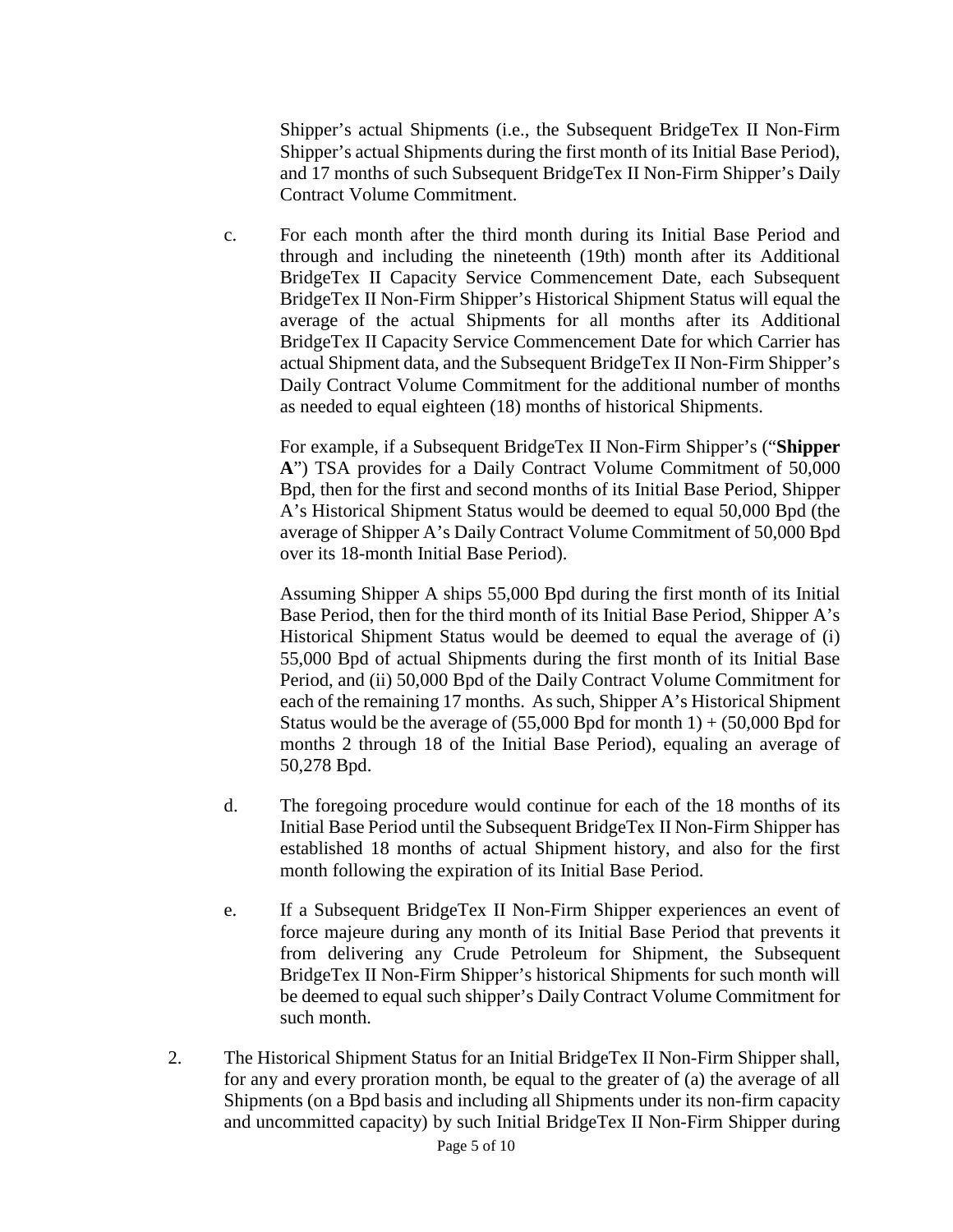Shipper's actual Shipments (i.e., the Subsequent BridgeTex II Non-Firm Shipper's actual Shipments during the first month of its Initial Base Period), and 17 months of such Subsequent BridgeTex II Non-Firm Shipper's Daily Contract Volume Commitment.

c. For each month after the third month during its Initial Base Period and through and including the nineteenth (19th) month after its Additional BridgeTex II Capacity Service Commencement Date, each Subsequent BridgeTex II Non-Firm Shipper's Historical Shipment Status will equal the average of the actual Shipments for all months after its Additional BridgeTex II Capacity Service Commencement Date for which Carrier has actual Shipment data, and the Subsequent BridgeTex II Non-Firm Shipper's Daily Contract Volume Commitment for the additional number of months as needed to equal eighteen (18) months of historical Shipments.

For example, if a Subsequent BridgeTex II Non-Firm Shipper's ("**Shipper A**") TSA provides for a Daily Contract Volume Commitment of 50,000 Bpd, then for the first and second months of its Initial Base Period, Shipper A's Historical Shipment Status would be deemed to equal 50,000 Bpd (the average of Shipper A's Daily Contract Volume Commitment of 50,000 Bpd over its 18-month Initial Base Period).

Assuming Shipper A ships 55,000 Bpd during the first month of its Initial Base Period, then for the third month of its Initial Base Period, Shipper A's Historical Shipment Status would be deemed to equal the average of (i) 55,000 Bpd of actual Shipments during the first month of its Initial Base Period, and (ii) 50,000 Bpd of the Daily Contract Volume Commitment for each of the remaining 17 months. As such, Shipper A's Historical Shipment Status would be the average of  $(55,000$  Bpd for month 1) +  $(50,000$  Bpd for months 2 through 18 of the Initial Base Period), equaling an average of 50,278 Bpd.

- d. The foregoing procedure would continue for each of the 18 months of its Initial Base Period until the Subsequent BridgeTex II Non-Firm Shipper has established 18 months of actual Shipment history, and also for the first month following the expiration of its Initial Base Period.
- e. If a Subsequent BridgeTex II Non-Firm Shipper experiences an event of force majeure during any month of its Initial Base Period that prevents it from delivering any Crude Petroleum for Shipment, the Subsequent BridgeTex II Non-Firm Shipper's historical Shipments for such month will be deemed to equal such shipper's Daily Contract Volume Commitment for such month.
- 2. The Historical Shipment Status for an Initial BridgeTex II Non-Firm Shipper shall, for any and every proration month, be equal to the greater of (a) the average of all Shipments (on a Bpd basis and including all Shipments under its non-firm capacity and uncommitted capacity) by such Initial BridgeTex II Non-Firm Shipper during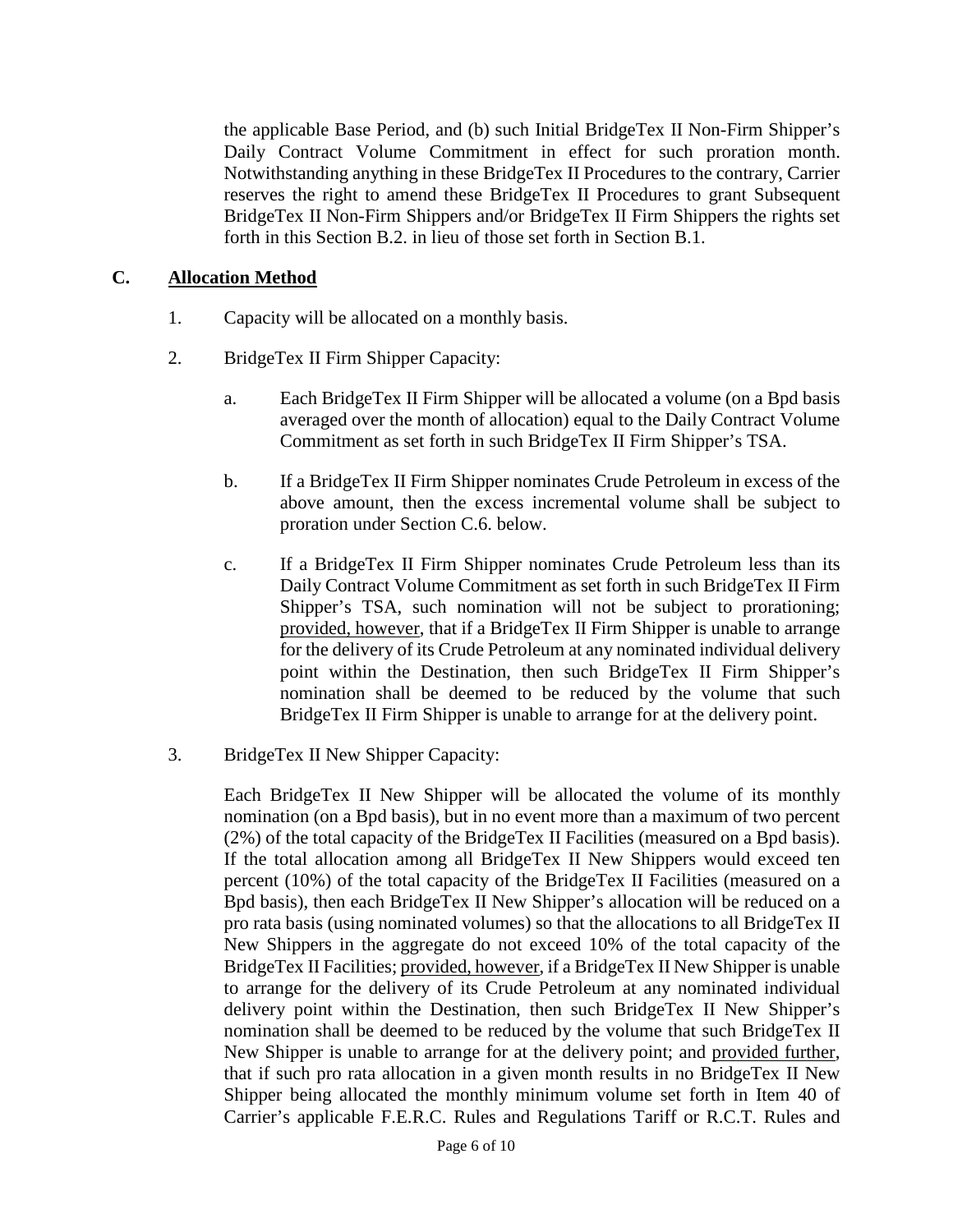the applicable Base Period, and (b) such Initial BridgeTex II Non-Firm Shipper's Daily Contract Volume Commitment in effect for such proration month. Notwithstanding anything in these BridgeTex II Procedures to the contrary, Carrier reserves the right to amend these BridgeTex II Procedures to grant Subsequent BridgeTex II Non-Firm Shippers and/or BridgeTex II Firm Shippers the rights set forth in this Section B.2. in lieu of those set forth in Section B.1.

### **C. Allocation Method**

- 1. Capacity will be allocated on a monthly basis.
- 2. BridgeTex II Firm Shipper Capacity:
	- a. Each BridgeTex II Firm Shipper will be allocated a volume (on a Bpd basis averaged over the month of allocation) equal to the Daily Contract Volume Commitment as set forth in such BridgeTex II Firm Shipper's TSA.
	- b. If a BridgeTex II Firm Shipper nominates Crude Petroleum in excess of the above amount, then the excess incremental volume shall be subject to proration under Section C.6. below.
	- c. If a BridgeTex II Firm Shipper nominates Crude Petroleum less than its Daily Contract Volume Commitment as set forth in such BridgeTex II Firm Shipper's TSA, such nomination will not be subject to prorationing; provided, however, that if a BridgeTex II Firm Shipper is unable to arrange for the delivery of its Crude Petroleum at any nominated individual delivery point within the Destination, then such BridgeTex II Firm Shipper's nomination shall be deemed to be reduced by the volume that such BridgeTex II Firm Shipper is unable to arrange for at the delivery point.
- 3. BridgeTex II New Shipper Capacity:

Each BridgeTex II New Shipper will be allocated the volume of its monthly nomination (on a Bpd basis), but in no event more than a maximum of two percent (2%) of the total capacity of the BridgeTex II Facilities (measured on a Bpd basis). If the total allocation among all BridgeTex II New Shippers would exceed ten percent (10%) of the total capacity of the BridgeTex II Facilities (measured on a Bpd basis), then each BridgeTex II New Shipper's allocation will be reduced on a pro rata basis (using nominated volumes) so that the allocations to all BridgeTex II New Shippers in the aggregate do not exceed 10% of the total capacity of the BridgeTex II Facilities; provided, however, if a BridgeTex II New Shipper is unable to arrange for the delivery of its Crude Petroleum at any nominated individual delivery point within the Destination, then such BridgeTex II New Shipper's nomination shall be deemed to be reduced by the volume that such BridgeTex II New Shipper is unable to arrange for at the delivery point; and provided further, that if such pro rata allocation in a given month results in no BridgeTex II New Shipper being allocated the monthly minimum volume set forth in Item 40 of Carrier's applicable F.E.R.C. Rules and Regulations Tariff or R.C.T. Rules and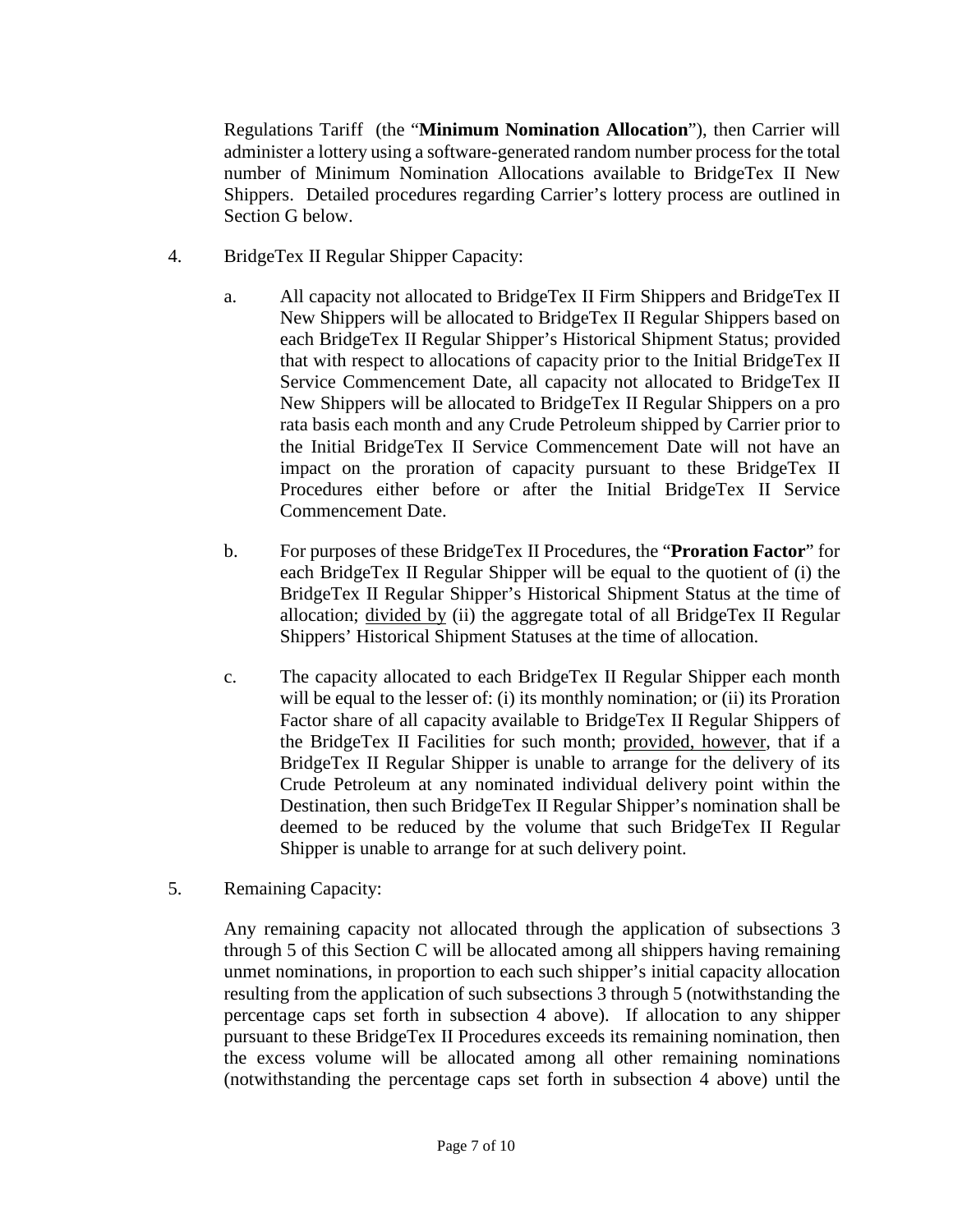Regulations Tariff (the "**Minimum Nomination Allocation**"), then Carrier will administer a lottery using a software-generated random number process for the total number of Minimum Nomination Allocations available to BridgeTex II New Shippers. Detailed procedures regarding Carrier's lottery process are outlined in Section G below.

- 4. BridgeTex II Regular Shipper Capacity:
	- a. All capacity not allocated to BridgeTex II Firm Shippers and BridgeTex II New Shippers will be allocated to BridgeTex II Regular Shippers based on each BridgeTex II Regular Shipper's Historical Shipment Status; provided that with respect to allocations of capacity prior to the Initial BridgeTex II Service Commencement Date, all capacity not allocated to BridgeTex II New Shippers will be allocated to BridgeTex II Regular Shippers on a pro rata basis each month and any Crude Petroleum shipped by Carrier prior to the Initial BridgeTex II Service Commencement Date will not have an impact on the proration of capacity pursuant to these BridgeTex II Procedures either before or after the Initial BridgeTex II Service Commencement Date.
	- b. For purposes of these BridgeTex II Procedures, the "**Proration Factor**" for each BridgeTex II Regular Shipper will be equal to the quotient of (i) the BridgeTex II Regular Shipper's Historical Shipment Status at the time of allocation; divided by (ii) the aggregate total of all BridgeTex II Regular Shippers' Historical Shipment Statuses at the time of allocation.
	- c. The capacity allocated to each BridgeTex II Regular Shipper each month will be equal to the lesser of: (i) its monthly nomination; or (ii) its Proration Factor share of all capacity available to BridgeTex II Regular Shippers of the BridgeTex II Facilities for such month; provided, however, that if a BridgeTex II Regular Shipper is unable to arrange for the delivery of its Crude Petroleum at any nominated individual delivery point within the Destination, then such BridgeTex II Regular Shipper's nomination shall be deemed to be reduced by the volume that such BridgeTex II Regular Shipper is unable to arrange for at such delivery point.
- 5. Remaining Capacity:

Any remaining capacity not allocated through the application of subsections 3 through 5 of this Section C will be allocated among all shippers having remaining unmet nominations, in proportion to each such shipper's initial capacity allocation resulting from the application of such subsections 3 through 5 (notwithstanding the percentage caps set forth in subsection 4 above). If allocation to any shipper pursuant to these BridgeTex II Procedures exceeds its remaining nomination, then the excess volume will be allocated among all other remaining nominations (notwithstanding the percentage caps set forth in subsection 4 above) until the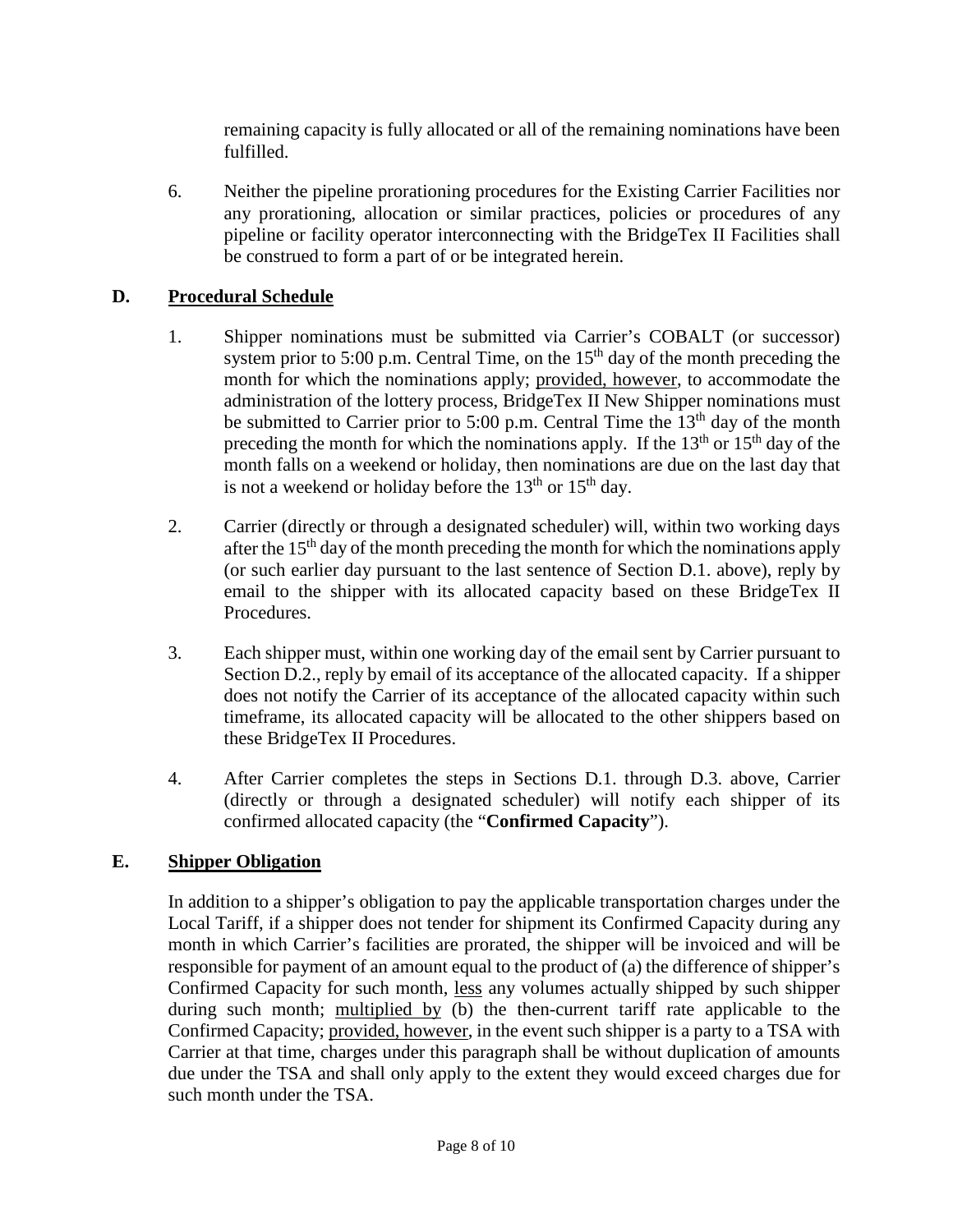remaining capacity is fully allocated or all of the remaining nominations have been fulfilled.

6. Neither the pipeline prorationing procedures for the Existing Carrier Facilities nor any prorationing, allocation or similar practices, policies or procedures of any pipeline or facility operator interconnecting with the BridgeTex II Facilities shall be construed to form a part of or be integrated herein.

## **D. Procedural Schedule**

- 1. Shipper nominations must be submitted via Carrier's COBALT (or successor) system prior to 5:00 p.m. Central Time, on the  $15<sup>th</sup>$  day of the month preceding the month for which the nominations apply; provided, however, to accommodate the administration of the lottery process, BridgeTex II New Shipper nominations must be submitted to Carrier prior to 5:00 p.m. Central Time the  $13<sup>th</sup>$  day of the month preceding the month for which the nominations apply. If the  $13<sup>th</sup>$  or  $15<sup>th</sup>$  day of the month falls on a weekend or holiday, then nominations are due on the last day that is not a weekend or holiday before the  $13<sup>th</sup>$  or  $15<sup>th</sup>$  day.
- 2. Carrier (directly or through a designated scheduler) will, within two working days after the  $15<sup>th</sup>$  day of the month preceding the month for which the nominations apply (or such earlier day pursuant to the last sentence of Section D.1. above), reply by email to the shipper with its allocated capacity based on these BridgeTex II Procedures.
- 3. Each shipper must, within one working day of the email sent by Carrier pursuant to Section D.2., reply by email of its acceptance of the allocated capacity. If a shipper does not notify the Carrier of its acceptance of the allocated capacity within such timeframe, its allocated capacity will be allocated to the other shippers based on these BridgeTex II Procedures.
- 4. After Carrier completes the steps in Sections D.1. through D.3. above, Carrier (directly or through a designated scheduler) will notify each shipper of its confirmed allocated capacity (the "**Confirmed Capacity**").

### **E. Shipper Obligation**

In addition to a shipper's obligation to pay the applicable transportation charges under the Local Tariff, if a shipper does not tender for shipment its Confirmed Capacity during any month in which Carrier's facilities are prorated, the shipper will be invoiced and will be responsible for payment of an amount equal to the product of (a) the difference of shipper's Confirmed Capacity for such month, less any volumes actually shipped by such shipper during such month; multiplied by (b) the then-current tariff rate applicable to the Confirmed Capacity; provided, however, in the event such shipper is a party to a TSA with Carrier at that time, charges under this paragraph shall be without duplication of amounts due under the TSA and shall only apply to the extent they would exceed charges due for such month under the TSA.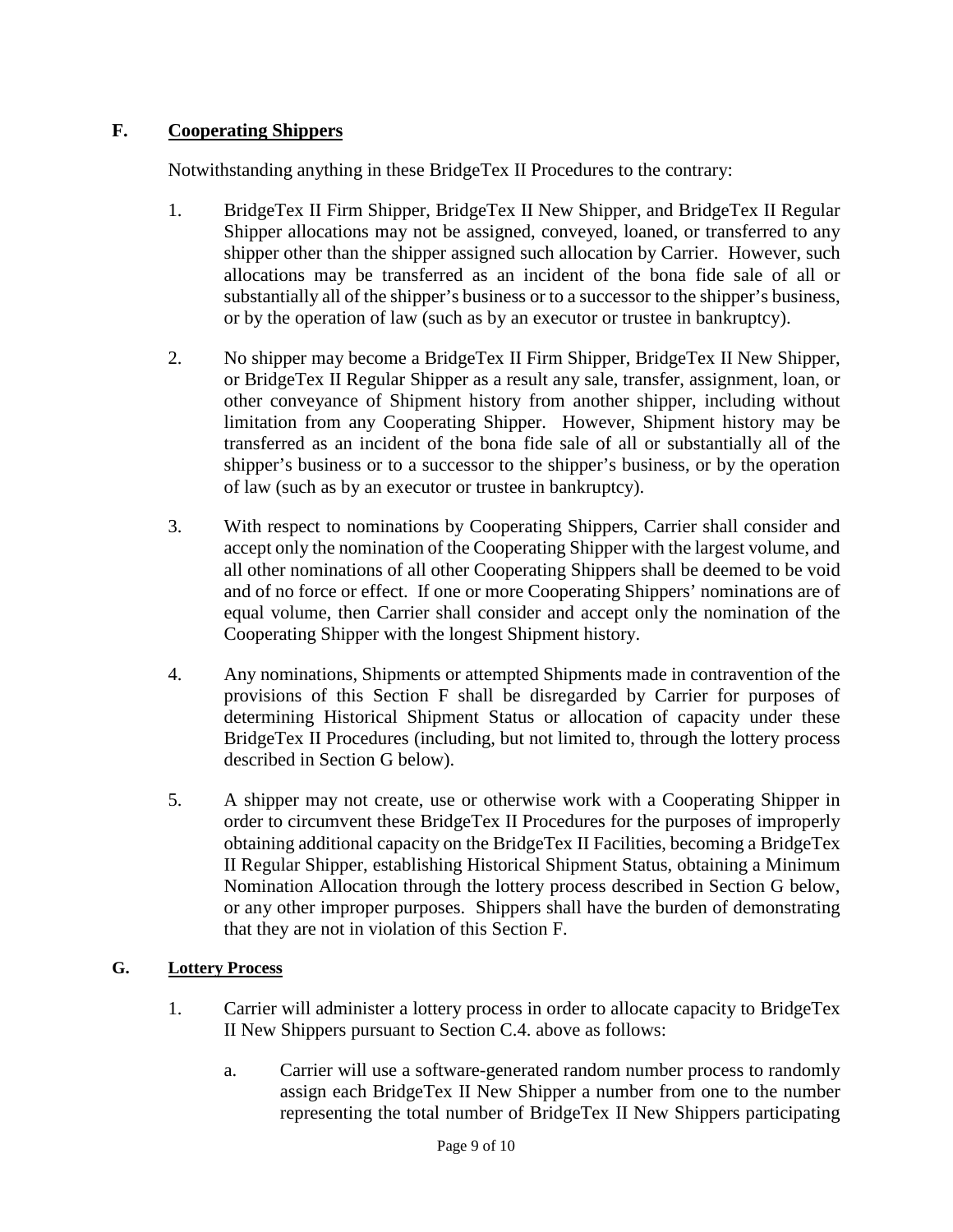# **F. Cooperating Shippers**

Notwithstanding anything in these BridgeTex II Procedures to the contrary:

- 1. BridgeTex II Firm Shipper, BridgeTex II New Shipper, and BridgeTex II Regular Shipper allocations may not be assigned, conveyed, loaned, or transferred to any shipper other than the shipper assigned such allocation by Carrier. However, such allocations may be transferred as an incident of the bona fide sale of all or substantially all of the shipper's business or to a successor to the shipper's business, or by the operation of law (such as by an executor or trustee in bankruptcy).
- 2. No shipper may become a BridgeTex II Firm Shipper, BridgeTex II New Shipper, or BridgeTex II Regular Shipper as a result any sale, transfer, assignment, loan, or other conveyance of Shipment history from another shipper, including without limitation from any Cooperating Shipper. However, Shipment history may be transferred as an incident of the bona fide sale of all or substantially all of the shipper's business or to a successor to the shipper's business, or by the operation of law (such as by an executor or trustee in bankruptcy).
- 3. With respect to nominations by Cooperating Shippers, Carrier shall consider and accept only the nomination of the Cooperating Shipper with the largest volume, and all other nominations of all other Cooperating Shippers shall be deemed to be void and of no force or effect. If one or more Cooperating Shippers' nominations are of equal volume, then Carrier shall consider and accept only the nomination of the Cooperating Shipper with the longest Shipment history.
- 4. Any nominations, Shipments or attempted Shipments made in contravention of the provisions of this Section F shall be disregarded by Carrier for purposes of determining Historical Shipment Status or allocation of capacity under these BridgeTex II Procedures (including, but not limited to, through the lottery process described in Section G below).
- 5. A shipper may not create, use or otherwise work with a Cooperating Shipper in order to circumvent these BridgeTex II Procedures for the purposes of improperly obtaining additional capacity on the BridgeTex II Facilities, becoming a BridgeTex II Regular Shipper, establishing Historical Shipment Status, obtaining a Minimum Nomination Allocation through the lottery process described in Section G below, or any other improper purposes. Shippers shall have the burden of demonstrating that they are not in violation of this Section F.

### **G. Lottery Process**

- 1. Carrier will administer a lottery process in order to allocate capacity to BridgeTex II New Shippers pursuant to Section C.4. above as follows:
	- a. Carrier will use a software-generated random number process to randomly assign each BridgeTex II New Shipper a number from one to the number representing the total number of BridgeTex II New Shippers participating